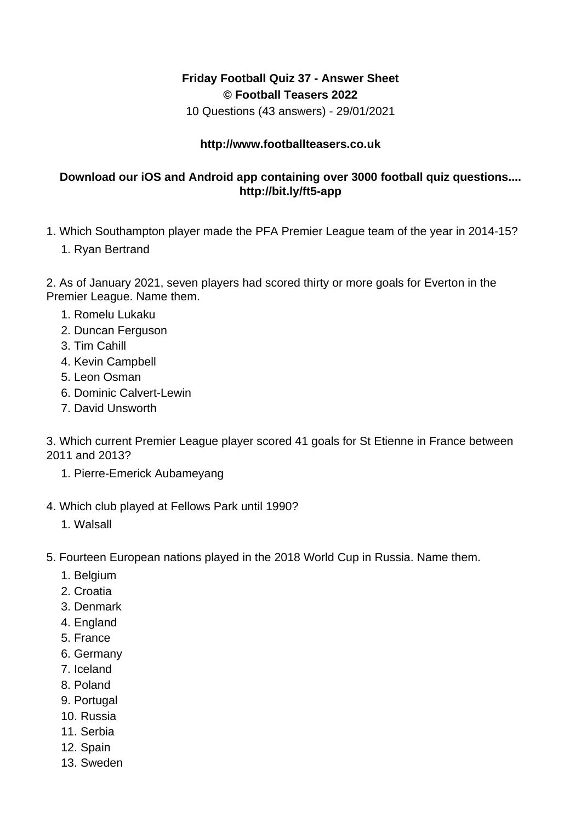## **Friday Football Quiz 37 - Answer Sheet © Football Teasers 2022**

10 Questions (43 answers) - 29/01/2021

## **http://www.footballteasers.co.uk**

## **Download our iOS and Android app containing over 3000 football quiz questions.... http://bit.ly/ft5-app**

- 1. Which Southampton player made the PFA Premier League team of the year in 2014-15?
	- 1. Ryan Bertrand

2. As of January 2021, seven players had scored thirty or more goals for Everton in the Premier League. Name them.

- 1. Romelu Lukaku
- 2. Duncan Ferguson
- 3. Tim Cahill
- 4. Kevin Campbell
- 5. Leon Osman
- 6. Dominic Calvert-Lewin
- 7. David Unsworth
- 3. Which current Premier League player scored 41 goals for St Etienne in France between 2011 and 2013?
	- 1. Pierre-Emerick Aubameyang
- 4. Which club played at Fellows Park until 1990?
	- 1. Walsall
- 5. Fourteen European nations played in the 2018 World Cup in Russia. Name them.
	- 1. Belgium
	- 2. Croatia
	- 3. Denmark
	- 4. England
	- 5. France
	- 6. Germany
	- 7. Iceland
	- 8. Poland
	- 9. Portugal
	- 10. Russia
	- 11. Serbia
	- 12. Spain
	- 13. Sweden